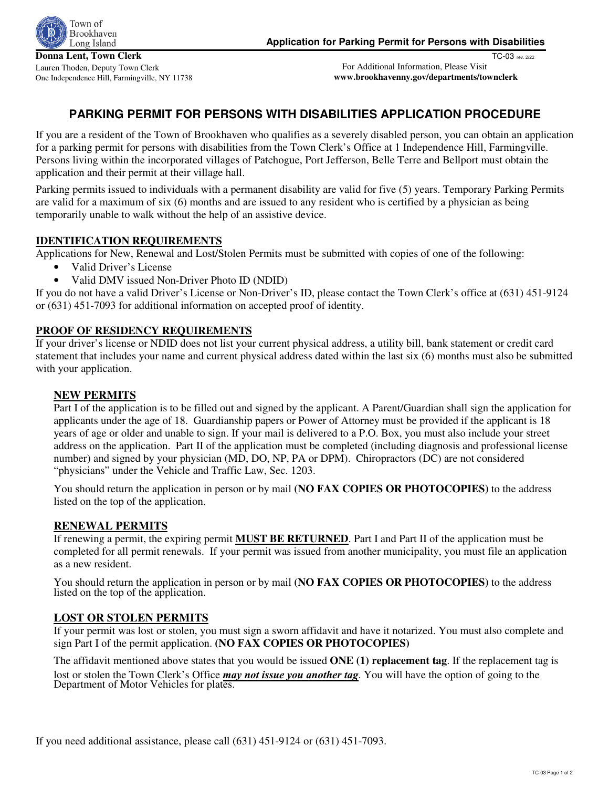

TC-03 rev. 2/22

 For Additional Information, Please Visit **www.brookhavenny.gov/departments/townclerk**

# **PARKING PERMIT FOR PERSONS WITH DISABILITIES APPLICATION PROCEDURE**

If you are a resident of the Town of Brookhaven who qualifies as a severely disabled person, you can obtain an application for a parking permit for persons with disabilities from the Town Clerk's Office at 1 Independence Hill, Farmingville. Persons living within the incorporated villages of Patchogue, Port Jefferson, Belle Terre and Bellport must obtain the application and their permit at their village hall.

Parking permits issued to individuals with a permanent disability are valid for five (5) years. Temporary Parking Permits are valid for a maximum of six (6) months and are issued to any resident who is certified by a physician as being temporarily unable to walk without the help of an assistive device.

## **IDENTIFICATION REQUIREMENTS**

Applications for New, Renewal and Lost/Stolen Permits must be submitted with copies of one of the following:

- Valid Driver's License
- Valid DMV issued Non-Driver Photo ID (NDID)

If you do not have a valid Driver's License or Non-Driver's ID, please contact the Town Clerk's office at (631) 451-9124 or (631) 451-7093 for additional information on accepted proof of identity.

#### **PROOF OF RESIDENCY REQUIREMENTS**

If your driver's license or NDID does not list your current physical address, a utility bill, bank statement or credit card statement that includes your name and current physical address dated within the last six (6) months must also be submitted with your application.

#### **NEW PERMITS**

Part I of the application is to be filled out and signed by the applicant. A Parent/Guardian shall sign the application for applicants under the age of 18. Guardianship papers or Power of Attorney must be provided if the applicant is 18 years of age or older and unable to sign. If your mail is delivered to a P.O. Box, you must also include your street address on the application. Part II of the application must be completed (including diagnosis and professional license number) and signed by your physician (MD, DO, NP, PA or DPM). Chiropractors (DC) are not considered "physicians" under the Vehicle and Traffic Law, Sec. 1203.

You should return the application in person or by mail **(NO FAX COPIES OR PHOTOCOPIES)** to the address listed on the top of the application.

## **RENEWAL PERMITS**

If renewing a permit, the expiring permit **MUST BE RETURNED**. Part I and Part II of the application must be completed for all permit renewals. If your permit was issued from another municipality, you must file an application as a new resident.

You should return the application in person or by mail **(NO FAX COPIES OR PHOTOCOPIES)** to the address listed on the top of the application.

## **LOST OR STOLEN PERMITS**

If your permit was lost or stolen, you must sign a sworn affidavit and have it notarized. You must also complete and sign Part I of the permit application. **(NO FAX COPIES OR PHOTOCOPIES)** 

The affidavit mentioned above states that you would be issued **ONE (1) replacement tag**. If the replacement tag is lost or stolen the Town Clerk's Office *may not issue you another tag*. You will have the option of going to the Department of Motor Vehicles for plates.